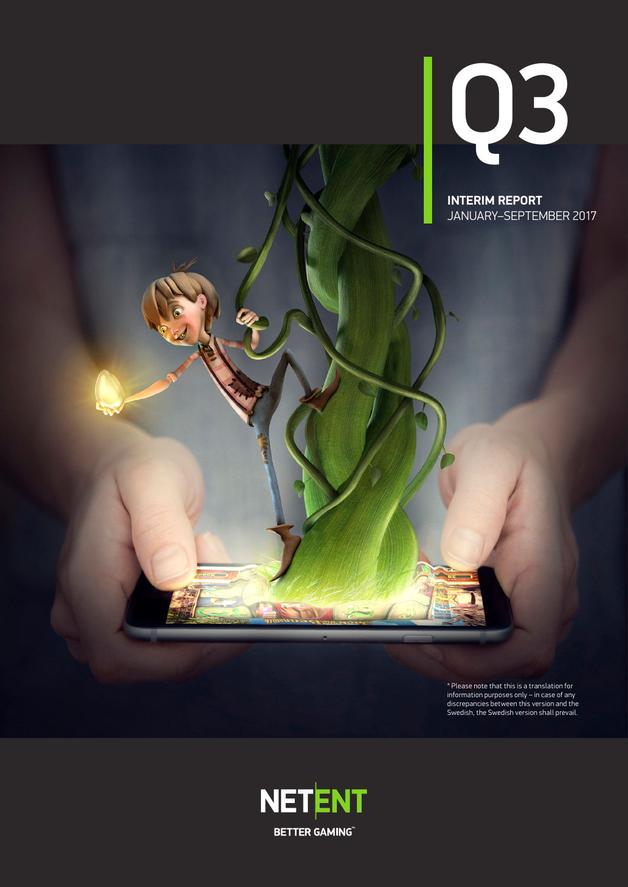

**INTERIM REPORT** JANUARY–SEPTEMBER 2017

\* Please note that this is a translation for information purposes only – in case of any discrepancies between this version and the Swedish, the Swedish version shall prevail.

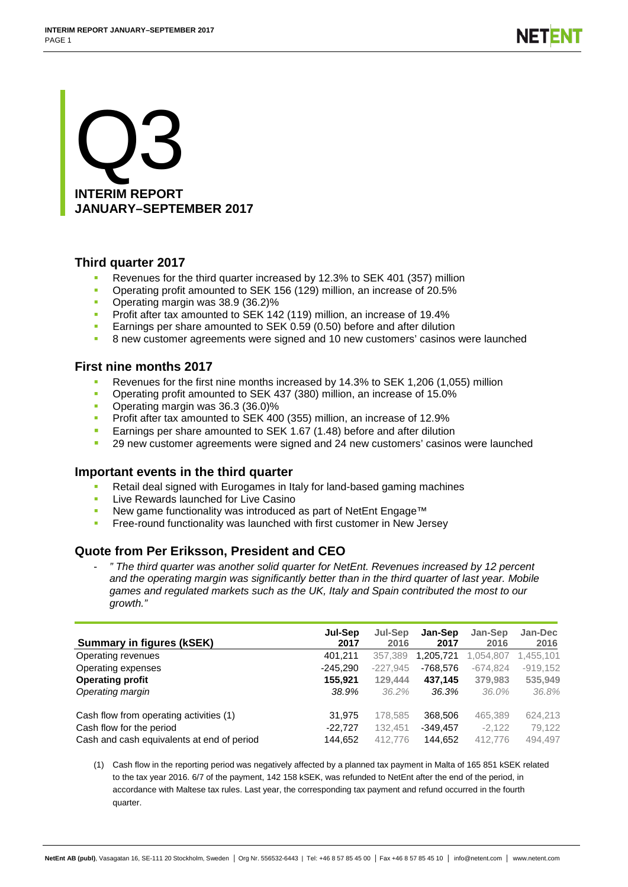# Q3 **INTERIM REPORT JANUARY–SEPTEMBER 2017**

# **Third quarter 2017**

- Revenues for the third quarter increased by 12.3% to SEK 401 (357) million
- Operating profit amounted to SEK 156 (129) million, an increase of 20.5%
- Operating margin was 38.9 (36.2)%
- **Profit after tax amounted to SEK 142 (119) million, an increase of 19.4%**
- **Earnings per share amounted to SEK 0.59 (0.50) before and after dilution**
- **8 new customer agreements were signed and 10 new customers' casinos were launched**

# **First nine months 2017**

- Revenues for the first nine months increased by 14.3% to SEK 1,206 (1,055) million
- Operating profit amounted to SEK 437 (380) million, an increase of 15.0%
- Operating margin was 36.3 (36.0)%
- Profit after tax amounted to SEK 400 (355) million, an increase of 12.9%
- Earnings per share amounted to SEK 1.67 (1.48) before and after dilution
- 29 new customer agreements were signed and 24 new customers' casinos were launched

# **Important events in the third quarter**

- Retail deal signed with Eurogames in Italy for land-based gaming machines
- Live Rewards launched for Live Casino
- New game functionality was introduced as part of NetEnt Engage™
- Free-round functionality was launched with first customer in New Jersey

# **Quote from Per Eriksson, President and CEO**

- *" The third quarter was another solid quarter for NetEnt. Revenues increased by 12 percent and the operating margin was significantly better than in the third quarter of last year. Mobile games and regulated markets such as the UK, Italy and Spain contributed the most to our growth."*

| <b>Summary in figures (kSEK)</b>           | Jul-Sep<br>2017 | Jul-Sep<br>2016 | Jan-Sep<br>2017 | Jan-Sep<br>2016 | Jan-Dec<br>2016 |
|--------------------------------------------|-----------------|-----------------|-----------------|-----------------|-----------------|
| Operating revenues                         | 401,211         | 357,389         | 1,205,721       | 1,054,807       | 1,455,101       |
| Operating expenses                         | $-245,290$      | $-227.945$      | -768.576        | $-674.824$      | $-919.152$      |
| <b>Operating profit</b>                    | 155.921         | 129.444         | 437.145         | 379,983         | 535,949         |
| Operating margin                           | 38.9%           | 36.2%           | 36.3%           | 36.0%           | 36.8%           |
| Cash flow from operating activities (1)    | 31.975          | 178,585         | 368,506         | 465,389         | 624.213         |
| Cash flow for the period                   | $-22.727$       | 132,451         | $-349,457$      | $-2,122$        | 79,122          |
| Cash and cash equivalents at end of period | 144,652         | 412.776         | 144.652         | 412,776         | 494.497         |

(1) Cash flow in the reporting period was negatively affected by a planned tax payment in Malta of 165 851 kSEK related to the tax year 2016. 6/7 of the payment, 142 158 kSEK, was refunded to NetEnt after the end of the period, in accordance with Maltese tax rules. Last year, the corresponding tax payment and refund occurred in the fourth quarter.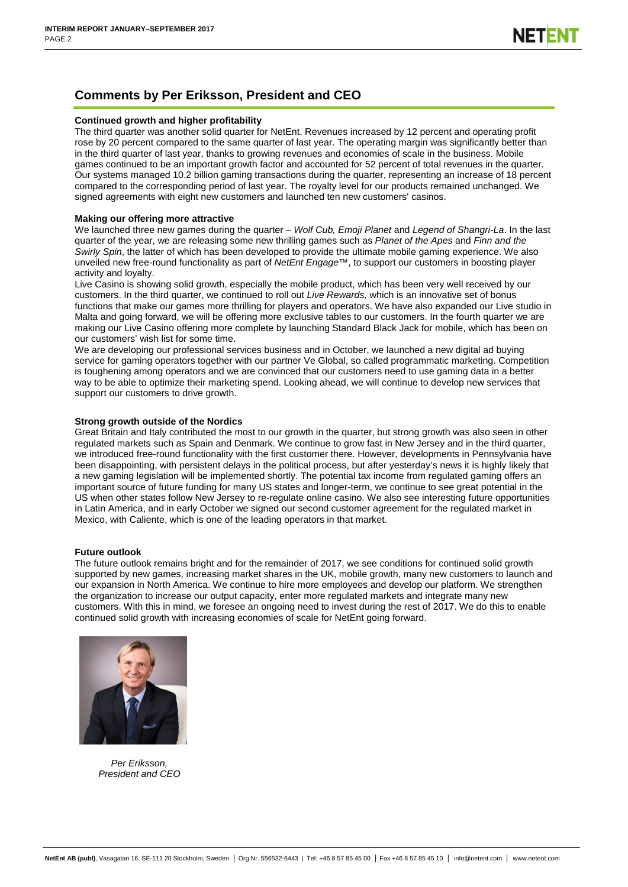# **Comments by Per Eriksson, President and CEO**

### **Continued growth and higher profitability**

The third quarter was another solid quarter for NetEnt. Revenues increased by 12 percent and operating profit rose by 20 percent compared to the same quarter of last year. The operating margin was significantly better than in the third quarter of last year, thanks to growing revenues and economies of scale in the business. Mobile games continued to be an important growth factor and accounted for 52 percent of total revenues in the quarter. Our systems managed 10.2 billion gaming transactions during the quarter, representing an increase of 18 percent compared to the corresponding period of last year. The royalty level for our products remained unchanged. We signed agreements with eight new customers and launched ten new customers' casinos.

### **Making our offering more attractive**

We launched three new games during the quarter – *Wolf Cub, Emoji Planet* and *Legend of Shangri-La*. In the last quarter of the year, we are releasing some new thrilling games such as *Planet of the Apes* and *Finn and the Swirly Spin*, the latter of which has been developed to provide the ultimate mobile gaming experience. We also unveiled new free-round functionality as part of *NetEnt Engage™*, to support our customers in boosting player activity and loyalty.

Live Casino is showing solid growth, especially the mobile product, which has been very well received by our customers. In the third quarter, we continued to roll out *Live Rewards,* which is an innovative set of bonus functions that make our games more thrilling for players and operators. We have also expanded our Live studio in Malta and going forward, we will be offering more exclusive tables to our customers. In the fourth quarter we are making our Live Casino offering more complete by launching Standard Black Jack for mobile, which has been on our customers' wish list for some time.

We are developing our professional services business and in October, we launched a new digital ad buying service for gaming operators together with our partner Ve Global, so called programmatic marketing. Competition is toughening among operators and we are convinced that our customers need to use gaming data in a better way to be able to optimize their marketing spend. Looking ahead, we will continue to develop new services that support our customers to drive growth.

### **Strong growth outside of the Nordics**

Great Britain and Italy contributed the most to our growth in the quarter, but strong growth was also seen in other regulated markets such as Spain and Denmark. We continue to grow fast in New Jersey and in the third quarter, we introduced free-round functionality with the first customer there. However, developments in Pennsylvania have been disappointing, with persistent delays in the political process, but after yesterday's news it is highly likely that a new gaming legislation will be implemented shortly. The potential tax income from regulated gaming offers an important source of future funding for many US states and longer-term, we continue to see great potential in the US when other states follow New Jersey to re-regulate online casino. We also see interesting future opportunities in Latin America, and in early October we signed our second customer agreement for the regulated market in Mexico, with Caliente, which is one of the leading operators in that market.

#### **Future outlook**

The future outlook remains bright and for the remainder of 2017, we see conditions for continued solid growth supported by new games, increasing market shares in the UK, mobile growth, many new customers to launch and our expansion in North America. We continue to hire more employees and develop our platform. We strengthen the organization to increase our output capacity, enter more regulated markets and integrate many new customers. With this in mind, we foresee an ongoing need to invest during the rest of 2017. We do this to enable continued solid growth with increasing economies of scale for NetEnt going forward.



*Per Eriksson, President and CEO*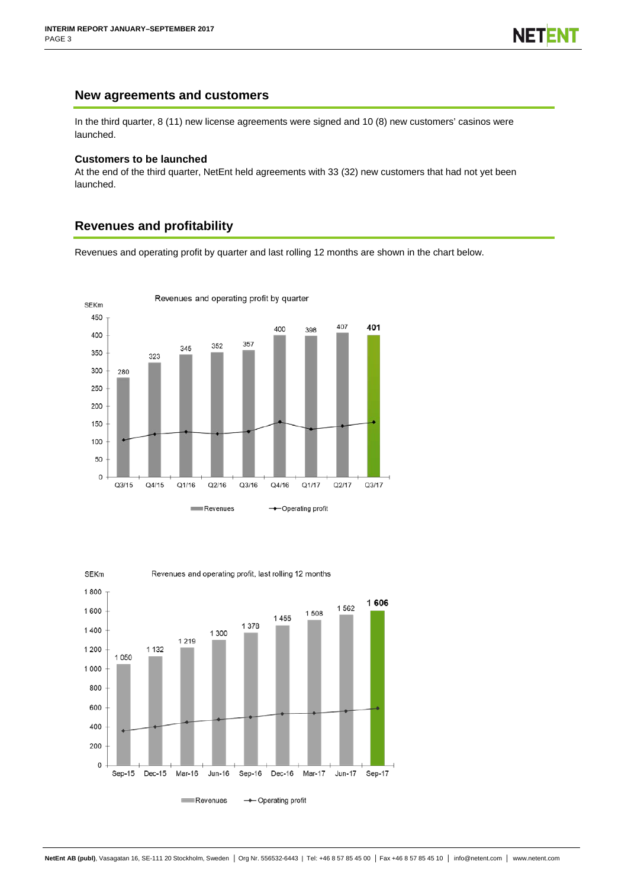### **New agreements and customers**

In the third quarter, 8 (11) new license agreements were signed and 10 (8) new customers' casinos were launched.

### **Customers to be launched**

At the end of the third quarter, NetEnt held agreements with 33 (32) new customers that had not yet been launched.

# **Revenues and profitability**

Revenues and operating profit by quarter and last rolling 12 months are shown in the chart below.



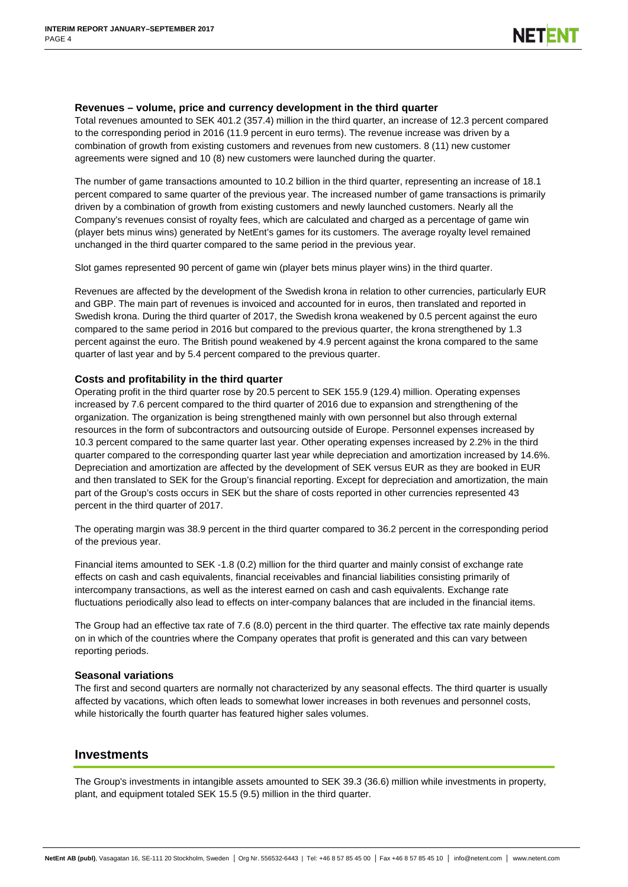### **Revenues – volume, price and currency development in the third quarter**

Total revenues amounted to SEK 401.2 (357.4) million in the third quarter, an increase of 12.3 percent compared to the corresponding period in 2016 (11.9 percent in euro terms). The revenue increase was driven by a combination of growth from existing customers and revenues from new customers. 8 (11) new customer agreements were signed and 10 (8) new customers were launched during the quarter.

The number of game transactions amounted to 10.2 billion in the third quarter, representing an increase of 18.1 percent compared to same quarter of the previous year. The increased number of game transactions is primarily driven by a combination of growth from existing customers and newly launched customers. Nearly all the Company's revenues consist of royalty fees, which are calculated and charged as a percentage of game win (player bets minus wins) generated by NetEnt's games for its customers. The average royalty level remained unchanged in the third quarter compared to the same period in the previous year.

Slot games represented 90 percent of game win (player bets minus player wins) in the third quarter.

Revenues are affected by the development of the Swedish krona in relation to other currencies, particularly EUR and GBP. The main part of revenues is invoiced and accounted for in euros, then translated and reported in Swedish krona. During the third quarter of 2017, the Swedish krona weakened by 0.5 percent against the euro compared to the same period in 2016 but compared to the previous quarter, the krona strengthened by 1.3 percent against the euro. The British pound weakened by 4.9 percent against the krona compared to the same quarter of last year and by 5.4 percent compared to the previous quarter.

### **Costs and profitability in the third quarter**

Operating profit in the third quarter rose by 20.5 percent to SEK 155.9 (129.4) million. Operating expenses increased by 7.6 percent compared to the third quarter of 2016 due to expansion and strengthening of the organization. The organization is being strengthened mainly with own personnel but also through external resources in the form of subcontractors and outsourcing outside of Europe. Personnel expenses increased by 10.3 percent compared to the same quarter last year. Other operating expenses increased by 2.2% in the third quarter compared to the corresponding quarter last year while depreciation and amortization increased by 14.6%. Depreciation and amortization are affected by the development of SEK versus EUR as they are booked in EUR and then translated to SEK for the Group's financial reporting. Except for depreciation and amortization, the main part of the Group's costs occurs in SEK but the share of costs reported in other currencies represented 43 percent in the third quarter of 2017.

The operating margin was 38.9 percent in the third quarter compared to 36.2 percent in the corresponding period of the previous year.

Financial items amounted to SEK -1.8 (0.2) million for the third quarter and mainly consist of exchange rate effects on cash and cash equivalents, financial receivables and financial liabilities consisting primarily of intercompany transactions, as well as the interest earned on cash and cash equivalents. Exchange rate fluctuations periodically also lead to effects on inter-company balances that are included in the financial items.

The Group had an effective tax rate of 7.6 (8.0) percent in the third quarter. The effective tax rate mainly depends on in which of the countries where the Company operates that profit is generated and this can vary between reporting periods.

### **Seasonal variations**

The first and second quarters are normally not characterized by any seasonal effects. The third quarter is usually affected by vacations, which often leads to somewhat lower increases in both revenues and personnel costs, while historically the fourth quarter has featured higher sales volumes.

### **Investments**

The Group's investments in intangible assets amounted to SEK 39.3 (36.6) million while investments in property, plant, and equipment totaled SEK 15.5 (9.5) million in the third quarter.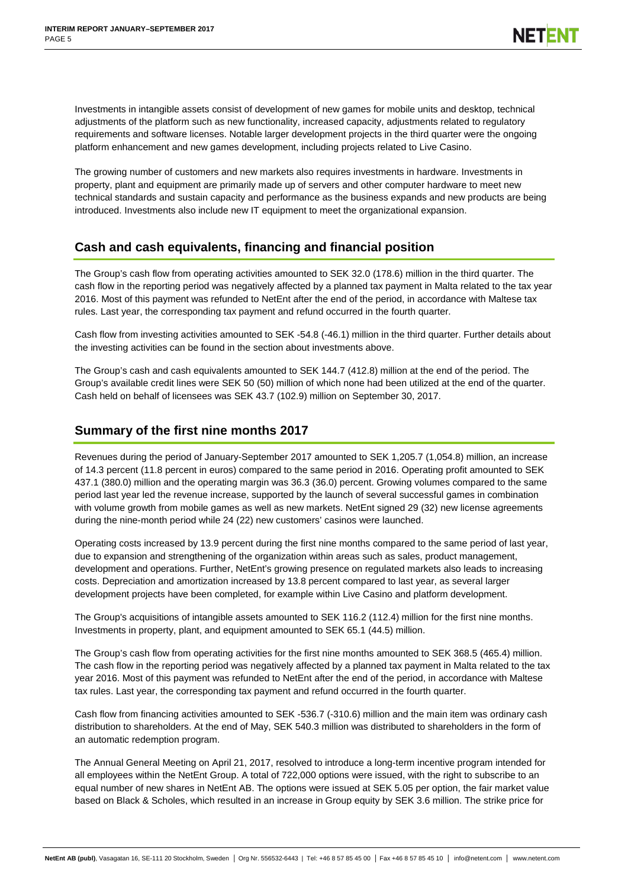Investments in intangible assets consist of development of new games for mobile units and desktop, technical adjustments of the platform such as new functionality, increased capacity, adjustments related to regulatory requirements and software licenses. Notable larger development projects in the third quarter were the ongoing platform enhancement and new games development, including projects related to Live Casino.

The growing number of customers and new markets also requires investments in hardware. Investments in property, plant and equipment are primarily made up of servers and other computer hardware to meet new technical standards and sustain capacity and performance as the business expands and new products are being introduced. Investments also include new IT equipment to meet the organizational expansion.

# **Cash and cash equivalents, financing and financial position**

The Group's cash flow from operating activities amounted to SEK 32.0 (178.6) million in the third quarter. The cash flow in the reporting period was negatively affected by a planned tax payment in Malta related to the tax year 2016. Most of this payment was refunded to NetEnt after the end of the period, in accordance with Maltese tax rules. Last year, the corresponding tax payment and refund occurred in the fourth quarter.

Cash flow from investing activities amounted to SEK -54.8 (-46.1) million in the third quarter. Further details about the investing activities can be found in the section about investments above.

The Group's cash and cash equivalents amounted to SEK 144.7 (412.8) million at the end of the period. The Group's available credit lines were SEK 50 (50) million of which none had been utilized at the end of the quarter. Cash held on behalf of licensees was SEK 43.7 (102.9) million on September 30, 2017.

# **Summary of the first nine months 2017**

Revenues during the period of January-September 2017 amounted to SEK 1,205.7 (1,054.8) million, an increase of 14.3 percent (11.8 percent in euros) compared to the same period in 2016. Operating profit amounted to SEK 437.1 (380.0) million and the operating margin was 36.3 (36.0) percent. Growing volumes compared to the same period last year led the revenue increase, supported by the launch of several successful games in combination with volume growth from mobile games as well as new markets. NetEnt signed 29 (32) new license agreements during the nine-month period while 24 (22) new customers' casinos were launched.

Operating costs increased by 13.9 percent during the first nine months compared to the same period of last year, due to expansion and strengthening of the organization within areas such as sales, product management, development and operations. Further, NetEnt's growing presence on regulated markets also leads to increasing costs. Depreciation and amortization increased by 13.8 percent compared to last year, as several larger development projects have been completed, for example within Live Casino and platform development.

The Group's acquisitions of intangible assets amounted to SEK 116.2 (112.4) million for the first nine months. Investments in property, plant, and equipment amounted to SEK 65.1 (44.5) million.

The Group's cash flow from operating activities for the first nine months amounted to SEK 368.5 (465.4) million. The cash flow in the reporting period was negatively affected by a planned tax payment in Malta related to the tax year 2016. Most of this payment was refunded to NetEnt after the end of the period, in accordance with Maltese tax rules. Last year, the corresponding tax payment and refund occurred in the fourth quarter.

Cash flow from financing activities amounted to SEK -536.7 (-310.6) million and the main item was ordinary cash distribution to shareholders. At the end of May, SEK 540.3 million was distributed to shareholders in the form of an automatic redemption program.

The Annual General Meeting on April 21, 2017, resolved to introduce a long-term incentive program intended for all employees within the NetEnt Group. A total of 722,000 options were issued, with the right to subscribe to an equal number of new shares in NetEnt AB. The options were issued at SEK 5.05 per option, the fair market value based on Black & Scholes, which resulted in an increase in Group equity by SEK 3.6 million. The strike price for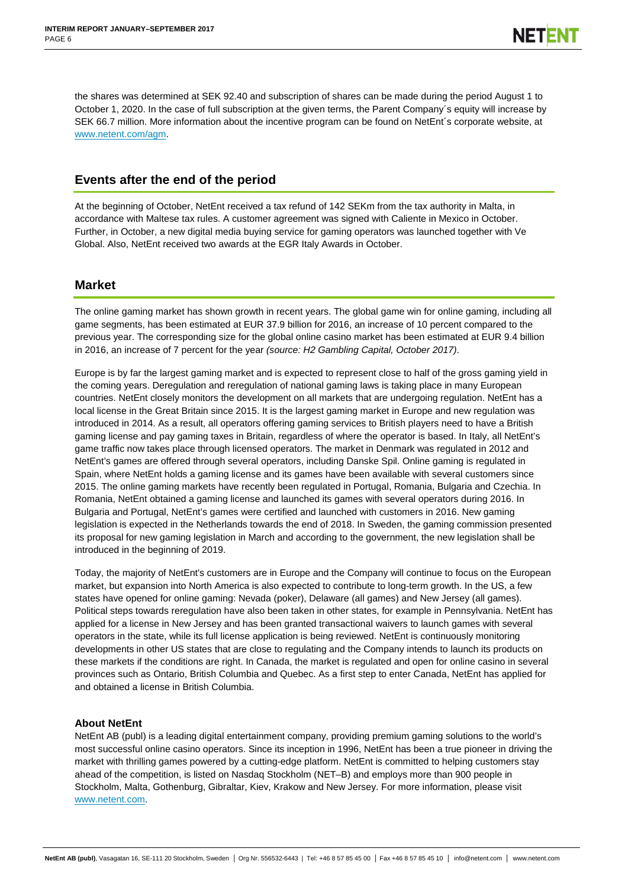the shares was determined at SEK 92.40 and subscription of shares can be made during the period August 1 to October 1, 2020. In the case of full subscription at the given terms, the Parent Company´s equity will increase by SEK 66.7 million. More information about the incentive program can be found on NetEnt´s corporate website, at [www.netent.com/agm.](file://office.necorp.dom/departments$/Investor-Relations/private/IR/IR/Kvartalsrapporter/2016/Q2/www.netent.com/agm)

# **Events after the end of the period**

At the beginning of October, NetEnt received a tax refund of 142 SEKm from the tax authority in Malta, in accordance with Maltese tax rules. A customer agreement was signed with Caliente in Mexico in October. Further, in October, a new digital media buying service for gaming operators was launched together with Ve Global. Also, NetEnt received two awards at the EGR Italy Awards in October.

# **Market**

The online gaming market has shown growth in recent years. The global game win for online gaming, including all game segments, has been estimated at EUR 37.9 billion for 2016, an increase of 10 percent compared to the previous year. The corresponding size for the global online casino market has been estimated at EUR 9.4 billion in 2016, an increase of 7 percent for the year *(source: H2 Gambling Capital, October 2017)*.

Europe is by far the largest gaming market and is expected to represent close to half of the gross gaming yield in the coming years. Deregulation and reregulation of national gaming laws is taking place in many European countries. NetEnt closely monitors the development on all markets that are undergoing regulation. NetEnt has a local license in the Great Britain since 2015. It is the largest gaming market in Europe and new regulation was introduced in 2014. As a result, all operators offering gaming services to British players need to have a British gaming license and pay gaming taxes in Britain, regardless of where the operator is based. In Italy, all NetEnt's game traffic now takes place through licensed operators. The market in Denmark was regulated in 2012 and NetEnt's games are offered through several operators, including Danske Spil. Online gaming is regulated in Spain, where NetEnt holds a gaming license and its games have been available with several customers since 2015. The online gaming markets have recently been regulated in Portugal, Romania, Bulgaria and Czechia. In Romania, NetEnt obtained a gaming license and launched its games with several operators during 2016. In Bulgaria and Portugal, NetEnt's games were certified and launched with customers in 2016. New gaming legislation is expected in the Netherlands towards the end of 2018. In Sweden, the gaming commission presented its proposal for new gaming legislation in March and according to the government, the new legislation shall be introduced in the beginning of 2019.

Today, the majority of NetEnt's customers are in Europe and the Company will continue to focus on the European market, but expansion into North America is also expected to contribute to long-term growth. In the US, a few states have opened for online gaming: Nevada (poker), Delaware (all games) and New Jersey (all games). Political steps towards reregulation have also been taken in other states, for example in Pennsylvania. NetEnt has applied for a license in New Jersey and has been granted transactional waivers to launch games with several operators in the state, while its full license application is being reviewed. NetEnt is continuously monitoring developments in other US states that are close to regulating and the Company intends to launch its products on these markets if the conditions are right. In Canada, the market is regulated and open for online casino in several provinces such as Ontario, British Columbia and Quebec. As a first step to enter Canada, NetEnt has applied for and obtained a license in British Columbia.

### **About NetEnt**

NetEnt AB (publ) is a leading digital entertainment company, providing premium gaming solutions to the world's most successful online casino operators. Since its inception in 1996, NetEnt has been a true pioneer in driving the market with thrilling games powered by a cutting-edge platform. NetEnt is committed to helping customers stay ahead of the competition, is listed on Nasdaq Stockholm (NET–B) and employs more than 900 people in Stockholm, Malta, Gothenburg, Gibraltar, Kiev, Krakow and New Jersey. For more information, please visit [www.netent.com.](file://office.necorp.dom/departments$/Investor-Relations/private/IR/IR/Kvartalsrapporter/2016/Q1/www.netent.com)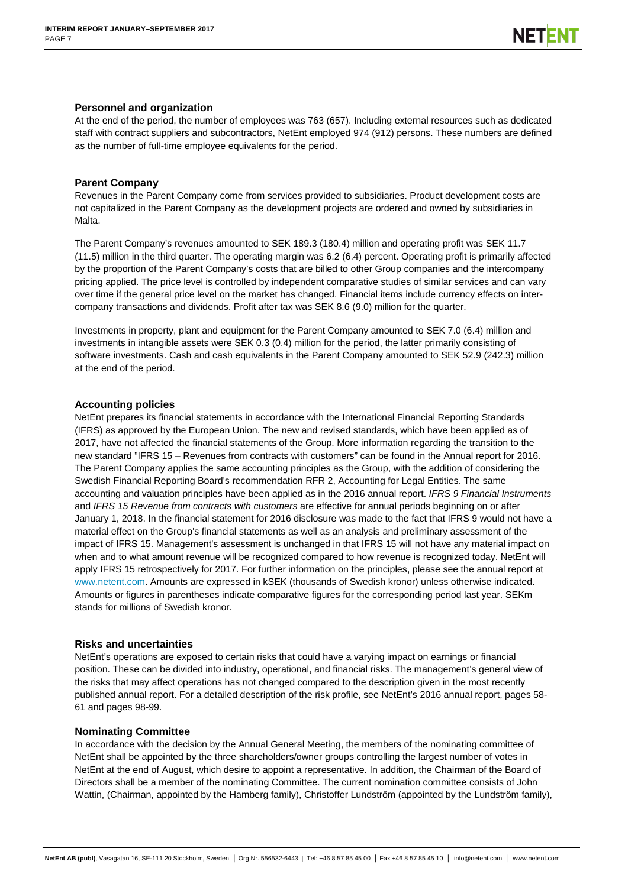### **Personnel and organization**

At the end of the period, the number of employees was 763 (657). Including external resources such as dedicated staff with contract suppliers and subcontractors, NetEnt employed 974 (912) persons. These numbers are defined as the number of full-time employee equivalents for the period.

### **Parent Company**

Revenues in the Parent Company come from services provided to subsidiaries. Product development costs are not capitalized in the Parent Company as the development projects are ordered and owned by subsidiaries in Malta.

The Parent Company's revenues amounted to SEK 189.3 (180.4) million and operating profit was SEK 11.7 (11.5) million in the third quarter. The operating margin was 6.2 (6.4) percent. Operating profit is primarily affected by the proportion of the Parent Company's costs that are billed to other Group companies and the intercompany pricing applied. The price level is controlled by independent comparative studies of similar services and can vary over time if the general price level on the market has changed. Financial items include currency effects on intercompany transactions and dividends. Profit after tax was SEK 8.6 (9.0) million for the quarter.

Investments in property, plant and equipment for the Parent Company amounted to SEK 7.0 (6.4) million and investments in intangible assets were SEK 0.3 (0.4) million for the period, the latter primarily consisting of software investments. Cash and cash equivalents in the Parent Company amounted to SEK 52.9 (242.3) million at the end of the period.

### **Accounting policies**

NetEnt prepares its financial statements in accordance with the International Financial Reporting Standards (IFRS) as approved by the European Union. The new and revised standards, which have been applied as of 2017, have not affected the financial statements of the Group. More information regarding the transition to the new standard "IFRS 15 – Revenues from contracts with customers" can be found in the Annual report for 2016. The Parent Company applies the same accounting principles as the Group, with the addition of considering the Swedish Financial Reporting Board's recommendation RFR 2, Accounting for Legal Entities. The same accounting and valuation principles have been applied as in the 2016 annual report. *IFRS 9 Financial Instruments* and *IFRS 15 Revenue from contracts with customers* are effective for annual periods beginning on or after January 1, 2018. In the financial statement for 2016 disclosure was made to the fact that IFRS 9 would not have a material effect on the Group's financial statements as well as an analysis and preliminary assessment of the impact of IFRS 15. Management's assessment is unchanged in that IFRS 15 will not have any material impact on when and to what amount revenue will be recognized compared to how revenue is recognized today. NetEnt will apply IFRS 15 retrospectively for 2017. For further information on the principles, please see the annual report at [www.netent.com.](file://office.necorp.dom/departments$/Investor-Relations/private/IR/IR/Kvartalsrapporter/2016/Q1/www.netent.com) Amounts are expressed in kSEK (thousands of Swedish kronor) unless otherwise indicated. Amounts or figures in parentheses indicate comparative figures for the corresponding period last year. SEKm stands for millions of Swedish kronor.

### **Risks and uncertainties**

NetEnt's operations are exposed to certain risks that could have a varying impact on earnings or financial position. These can be divided into industry, operational, and financial risks. The management's general view of the risks that may affect operations has not changed compared to the description given in the most recently published annual report. For a detailed description of the risk profile, see NetEnt's 2016 annual report, pages 58- 61 and pages 98-99.

### **Nominating Committee**

In accordance with the decision by the Annual General Meeting, the members of the nominating committee of NetEnt shall be appointed by the three shareholders/owner groups controlling the largest number of votes in NetEnt at the end of August, which desire to appoint a representative. In addition, the Chairman of the Board of Directors shall be a member of the nominating Committee. The current nomination committee consists of John Wattin, (Chairman, appointed by the Hamberg family), Christoffer Lundström (appointed by the Lundström family),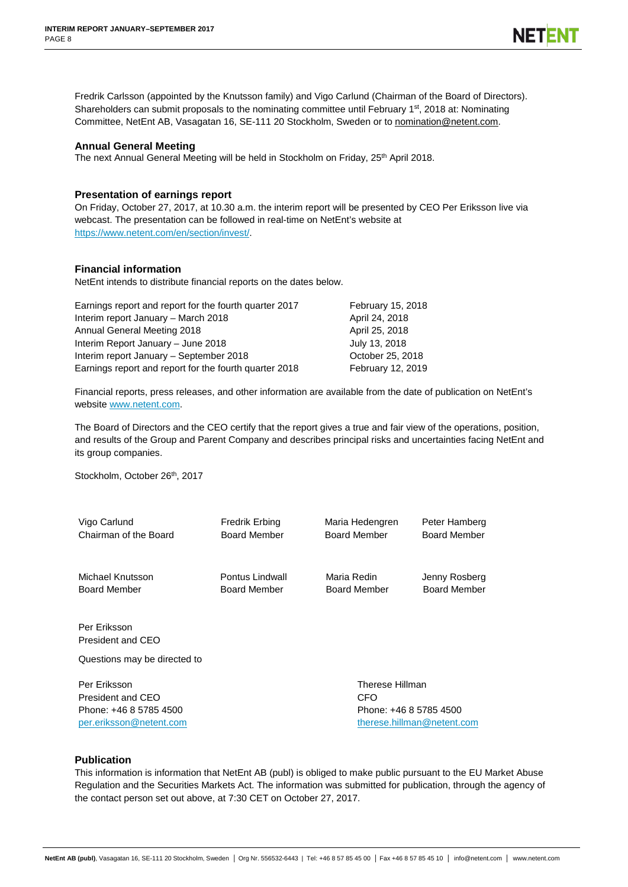Fredrik Carlsson (appointed by the Knutsson family) and Vigo Carlund (Chairman of the Board of Directors). Shareholders can submit proposals to the nominating committee until February 1<sup>st</sup>, 2018 at: Nominating Committee, NetEnt AB, Vasagatan 16, SE-111 20 Stockholm, Sweden or to nomination@netent.com.

### **Annual General Meeting**

The next Annual General Meeting will be held in Stockholm on Friday, 25<sup>th</sup> April 2018.

### **Presentation of earnings report**

On Friday, October 27, 2017, at 10.30 a.m. the interim report will be presented by CEO Per Eriksson live via webcast. The presentation can be followed in real-time on NetEnt's website at [https://www.netent.com/en/section/invest/.](https://www.netent.com/en/section/invest/)

### **Financial information**

NetEnt intends to distribute financial reports on the dates below.

| Earnings report and report for the fourth quarter 2017 | February 15, 2018 |
|--------------------------------------------------------|-------------------|
| Interim report January - March 2018                    | April 24, 2018    |
| Annual General Meeting 2018                            | April 25, 2018    |
| Interim Report January - June 2018                     | July 13, 2018     |
| Interim report January - September 2018                | October 25, 2018  |
| Earnings report and report for the fourth quarter 2018 | February 12, 2019 |

Financial reports, press releases, and other information are available from the date of publication on NetEnt's website [www.netent.com.](file://office.necorp.dom/departments$/Investor-Relations/private/IR/IR/Kvartalsrapporter/2016/Q2/www.netent.com)

The Board of Directors and the CEO certify that the report gives a true and fair view of the operations, position, and results of the Group and Parent Company and describes principal risks and uncertainties facing NetEnt and its group companies.

Stockholm, October 26<sup>th</sup>, 2017

Vigo Carlund Chairman of the Board Fredrik Erbing Board Member Maria Hedengren Peter Hamberg Board Member Board Member Michael Knutsson Board Member Pontus Lindwall Board Member Maria Redin Jenny Rosberg Board Member Board Member Per Eriksson President and CEO Questions may be directed to

Per Eriksson President and CEO Phone: +46 8 5785 4500 [per.eriksson@netent.com](mailto:per.eriksson@netent.com) Therese Hillman **CFO** Phone: +46 8 5785 4500 [therese.hillman@netent.com](mailto:therese.hillman@netent.com)

### **Publication**

This information is information that NetEnt AB (publ) is obliged to make public pursuant to the EU Market Abuse Regulation and the Securities Markets Act. The information was submitted for publication, through the agency of the contact person set out above, at 7:30 CET on October 27, 2017.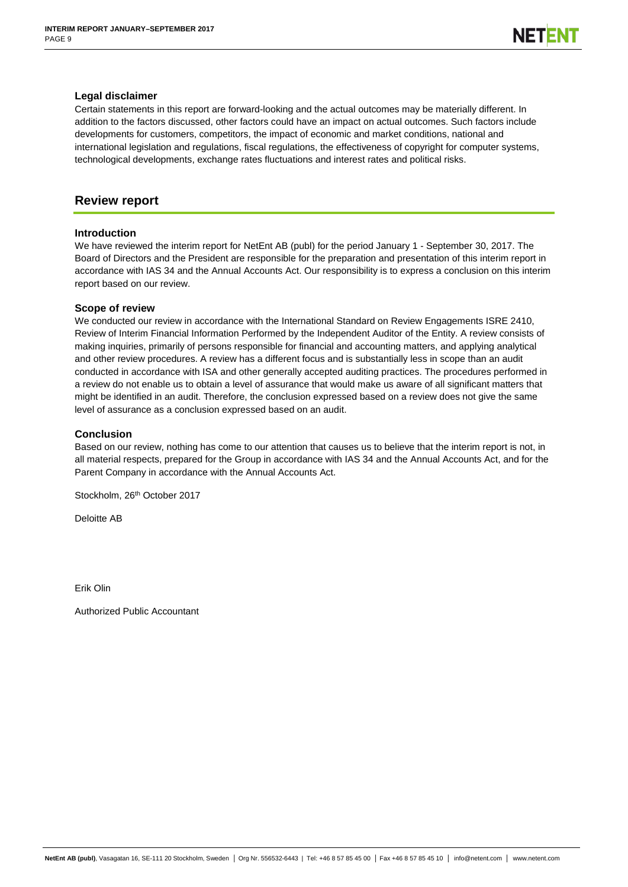### **Legal disclaimer**

Certain statements in this report are forward-looking and the actual outcomes may be materially different. In addition to the factors discussed, other factors could have an impact on actual outcomes. Such factors include developments for customers, competitors, the impact of economic and market conditions, national and international legislation and regulations, fiscal regulations, the effectiveness of copyright for computer systems, technological developments, exchange rates fluctuations and interest rates and political risks.

# **Review report**

### **Introduction**

We have reviewed the interim report for NetEnt AB (publ) for the period January 1 - September 30, 2017. The Board of Directors and the President are responsible for the preparation and presentation of this interim report in accordance with IAS 34 and the Annual Accounts Act. Our responsibility is to express a conclusion on this interim report based on our review.

### **Scope of review**

We conducted our review in accordance with the International Standard on Review Engagements ISRE 2410, Review of Interim Financial Information Performed by the Independent Auditor of the Entity. A review consists of making inquiries, primarily of persons responsible for financial and accounting matters, and applying analytical and other review procedures. A review has a different focus and is substantially less in scope than an audit conducted in accordance with ISA and other generally accepted auditing practices. The procedures performed in a review do not enable us to obtain a level of assurance that would make us aware of all significant matters that might be identified in an audit. Therefore, the conclusion expressed based on a review does not give the same level of assurance as a conclusion expressed based on an audit.

### **Conclusion**

Based on our review, nothing has come to our attention that causes us to believe that the interim report is not, in all material respects, prepared for the Group in accordance with IAS 34 and the Annual Accounts Act, and for the Parent Company in accordance with the Annual Accounts Act.

Stockholm, 26<sup>th</sup> October 2017

Deloitte AB

Erik Olin

Authorized Public Accountant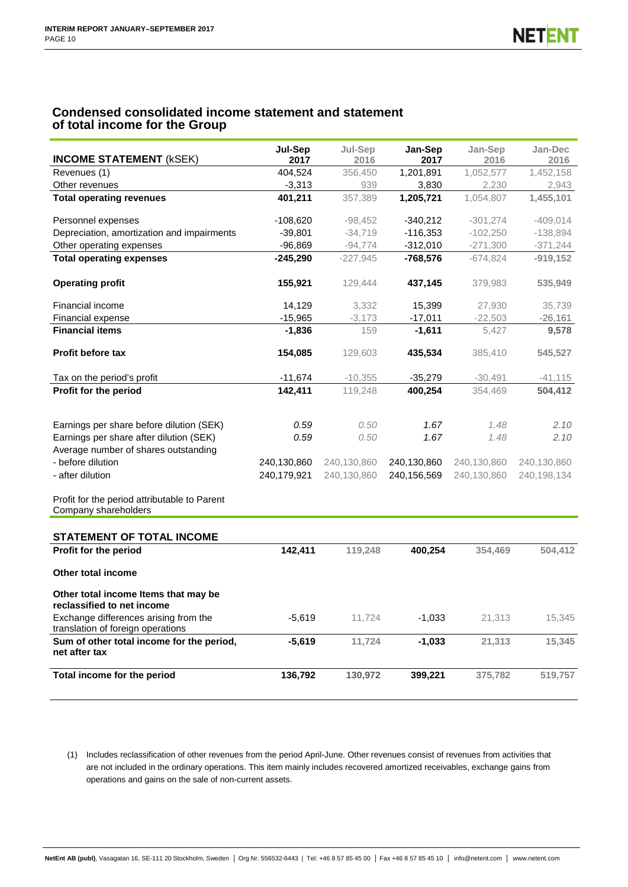# **Condensed consolidated income statement and statement of total income for the Group**

| <b>INCOME STATEMENT (kSEK)</b>                                             | Jul-Sep<br>2017 | Jul-Sep<br>2016 | Jan-Sep<br>2017 | Jan-Sep<br>2016 | Jan-Dec<br>2016 |
|----------------------------------------------------------------------------|-----------------|-----------------|-----------------|-----------------|-----------------|
| Revenues (1)                                                               | 404,524         | 356,450         | 1,201,891       | 1,052,577       | 1,452,158       |
| Other revenues                                                             | $-3,313$        | 939             | 3,830           | 2,230           | 2,943           |
| <b>Total operating revenues</b>                                            | 401,211         | 357.389         | 1.205.721       | 1.054.807       | 1,455,101       |
|                                                                            |                 |                 |                 |                 |                 |
| Personnel expenses                                                         | $-108,620$      | $-98,452$       | $-340,212$      | $-301,274$      | $-409,014$      |
| Depreciation, amortization and impairments                                 | $-39,801$       | $-34,719$       | $-116,353$      | $-102,250$      | $-138,894$      |
| Other operating expenses                                                   | $-96,869$       | $-94,774$       | $-312,010$      | $-271,300$      | $-371,244$      |
| <b>Total operating expenses</b>                                            | $-245,290$      | $-227,945$      | $-768,576$      | $-674,824$      | $-919,152$      |
| <b>Operating profit</b>                                                    | 155,921         | 129,444         | 437,145         | 379,983         | 535,949         |
| Financial income                                                           | 14,129          | 3,332           | 15,399          | 27,930          | 35,739          |
| Financial expense                                                          | $-15,965$       | $-3,173$        | $-17,011$       | $-22,503$       | $-26,161$       |
| <b>Financial items</b>                                                     | $-1,836$        | 159             | $-1,611$        | 5,427           | 9,578           |
| <b>Profit before tax</b>                                                   | 154,085         | 129,603         | 435,534         | 385.410         | 545,527         |
| Tax on the period's profit                                                 | $-11,674$       | $-10,355$       | $-35,279$       | $-30,491$       | $-41, 115$      |
| Profit for the period                                                      | 142,411         | 119,248         | 400,254         | 354,469         | 504,412         |
| Earnings per share before dilution (SEK)                                   | 0.59            | 0.50            | 1.67            | 1.48            | 2.10            |
| Earnings per share after dilution (SEK)                                    | 0.59            | 0.50            | 1.67            | 1.48            | 2.10            |
| Average number of shares outstanding                                       |                 |                 |                 |                 |                 |
| - before dilution                                                          | 240,130,860     | 240,130,860     | 240,130,860     | 240,130,860     | 240,130,860     |
| - after dilution                                                           | 240,179,921     | 240,130,860     | 240,156,569     | 240,130,860     | 240,198,134     |
| Profit for the period attributable to Parent<br>Company shareholders       |                 |                 |                 |                 |                 |
| STATEMENT OF TOTAL INCOME                                                  |                 |                 |                 |                 |                 |
| Profit for the period                                                      | 142,411         | 119,248         | 400,254         | 354,469         | 504,412         |
| Other total income                                                         |                 |                 |                 |                 |                 |
| Other total income Items that may be<br>reclassified to net income         |                 |                 |                 |                 |                 |
| Exchange differences arising from the<br>translation of foreign operations | $-5,619$        | 11,724          | $-1,033$        | 21,313          | 15,345          |
| Sum of other total income for the period,<br>net after tax                 | $-5,619$        | 11,724          | -1,033          | 21,313          | 15,345          |
| Total income for the period                                                | 136,792         | 130,972         | 399,221         | 375,782         | 519,757         |

(1) Includes reclassification of other revenues from the period April-June. Other revenues consist of revenues from activities that are not included in the ordinary operations. This item mainly includes recovered amortized receivables, exchange gains from operations and gains on the sale of non-current assets.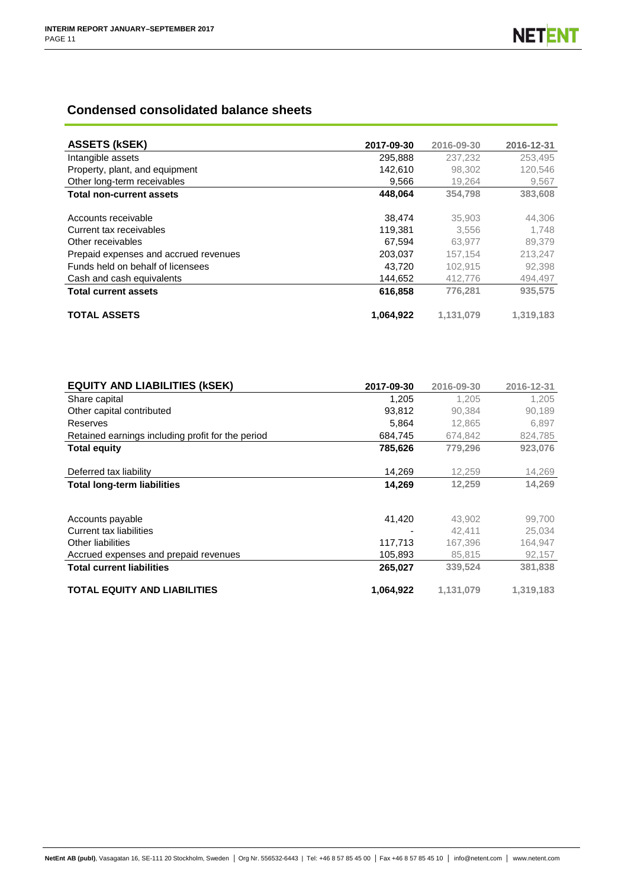# **Condensed consolidated balance sheets**

| <b>ASSETS (KSEK)</b>                  | 2017-09-30 | 2016-09-30 | 2016-12-31 |
|---------------------------------------|------------|------------|------------|
| Intangible assets                     | 295,888    | 237.232    | 253,495    |
| Property, plant, and equipment        | 142,610    | 98.302     | 120,546    |
| Other long-term receivables           | 9.566      | 19,264     | 9,567      |
| <b>Total non-current assets</b>       | 448,064    | 354.798    | 383,608    |
|                                       |            |            |            |
| Accounts receivable                   | 38.474     | 35,903     | 44,306     |
| Current tax receivables               | 119,381    | 3.556      | 1.748      |
| Other receivables                     | 67.594     | 63.977     | 89,379     |
| Prepaid expenses and accrued revenues | 203,037    | 157,154    | 213,247    |
| Funds held on behalf of licensees     | 43.720     | 102.915    | 92.398     |
| Cash and cash equivalents             | 144.652    | 412.776    | 494,497    |
| <b>Total current assets</b>           | 616,858    | 776.281    | 935.575    |
| <b>TOTAL ASSETS</b>                   | 1,064,922  | 1,131,079  | 1,319,183  |

| <b>EQUITY AND LIABILITIES (KSEK)</b>              | 2017-09-30 | 2016-09-30 | 2016-12-31 |
|---------------------------------------------------|------------|------------|------------|
| Share capital                                     | 1,205      | 1.205      | 1.205      |
| Other capital contributed                         | 93.812     | 90.384     | 90,189     |
| Reserves                                          | 5,864      | 12.865     | 6,897      |
| Retained earnings including profit for the period | 684,745    | 674,842    | 824,785    |
| <b>Total equity</b>                               | 785,626    | 779,296    | 923,076    |
| Deferred tax liability                            | 14,269     | 12,259     | 14,269     |
| <b>Total long-term liabilities</b>                | 14,269     | 12,259     | 14,269     |
|                                                   |            |            |            |
| Accounts payable                                  | 41,420     | 43.902     | 99,700     |
| Current tax liabilities                           |            | 42.411     | 25,034     |
| Other liabilities                                 | 117,713    | 167,396    | 164,947    |
| Accrued expenses and prepaid revenues             | 105,893    | 85,815     | 92,157     |
| <b>Total current liabilities</b>                  | 265,027    | 339,524    | 381,838    |
| <b>TOTAL EQUITY AND LIABILITIES</b>               | 1,064,922  | 1,131,079  | 1,319,183  |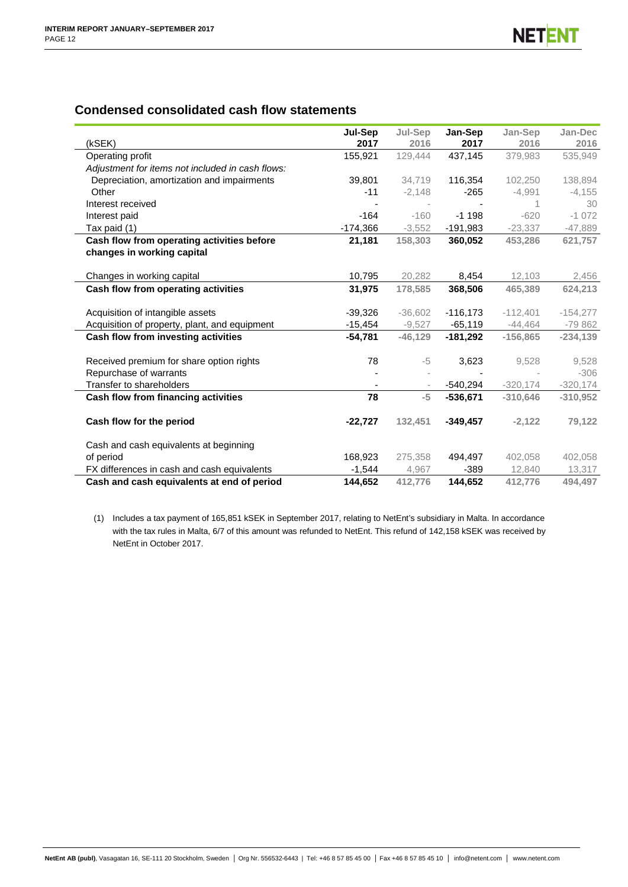# **Condensed consolidated cash flow statements**

|                                                  | Jul-Sep    | Jul-Sep   | Jan-Sep    | Jan-Sep    | Jan-Dec    |
|--------------------------------------------------|------------|-----------|------------|------------|------------|
| (kSEK)                                           | 2017       | 2016      | 2017       | 2016       | 2016       |
| Operating profit                                 | 155,921    | 129.444   | 437,145    | 379.983    | 535,949    |
| Adjustment for items not included in cash flows: |            |           |            |            |            |
| Depreciation, amortization and impairments       | 39,801     | 34,719    | 116,354    | 102,250    | 138,894    |
| Other                                            | $-11$      | $-2,148$  | $-265$     | $-4,991$   | $-4,155$   |
| Interest received                                |            |           |            |            | 30         |
| Interest paid                                    | $-164$     | $-160$    | $-1.198$   | $-620$     | $-1072$    |
| Tax paid (1)                                     | $-174,366$ | $-3,552$  | $-191,983$ | $-23,337$  | $-47,889$  |
| Cash flow from operating activities before       | 21,181     | 158,303   | 360,052    | 453,286    | 621,757    |
| changes in working capital                       |            |           |            |            |            |
|                                                  |            |           |            |            |            |
| Changes in working capital                       | 10,795     | 20,282    | 8,454      | 12,103     | 2,456      |
| Cash flow from operating activities              | 31,975     | 178,585   | 368,506    | 465,389    | 624,213    |
| Acquisition of intangible assets                 | $-39,326$  | $-36,602$ | $-116,173$ | $-112,401$ | $-154,277$ |
|                                                  |            | $-9,527$  |            | $-44,464$  | $-79862$   |
| Acquisition of property, plant, and equipment    | $-15,454$  |           | $-65,119$  |            |            |
| Cash flow from investing activities              | $-54,781$  | $-46.129$ | $-181,292$ | $-156,865$ | $-234,139$ |
| Received premium for share option rights         | 78         | -5        | 3,623      | 9,528      | 9,528      |
| Repurchase of warrants                           |            |           |            |            | $-306$     |
| Transfer to shareholders                         |            |           | $-540,294$ | $-320,174$ | $-320,174$ |
| Cash flow from financing activities              | 78         | $-5$      | $-536.671$ | $-310.646$ | $-310,952$ |
| Cash flow for the period                         | $-22,727$  | 132,451   | $-349,457$ | $-2,122$   | 79,122     |
|                                                  |            |           |            |            |            |
| Cash and cash equivalents at beginning           |            |           |            |            |            |
| of period                                        | 168,923    | 275,358   | 494,497    | 402,058    | 402,058    |
| FX differences in cash and cash equivalents      | $-1,544$   | 4,967     | $-389$     | 12,840     | 13,317     |
| Cash and cash equivalents at end of period       | 144,652    | 412,776   | 144,652    | 412,776    | 494,497    |

(1) Includes a tax payment of 165,851 kSEK in September 2017, relating to NetEnt's subsidiary in Malta. In accordance with the tax rules in Malta, 6/7 of this amount was refunded to NetEnt. This refund of 142,158 kSEK was received by NetEnt in October 2017.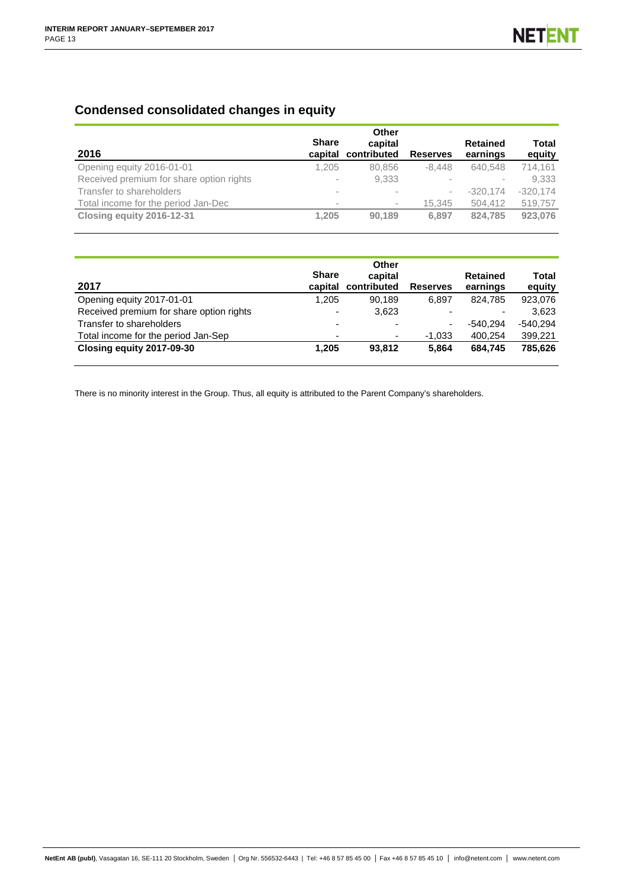# **Condensed consolidated changes in equity**

| 2016                                     | <b>Share</b><br>capital  | Other<br>capital<br>contributed | <b>Reserves</b> | <b>Retained</b><br>earnings | Total<br>equity |
|------------------------------------------|--------------------------|---------------------------------|-----------------|-----------------------------|-----------------|
| Opening equity 2016-01-01                | 1.205                    | 80,856                          | $-8.448$        | 640.548                     | 714.161         |
| Received premium for share option rights | $\overline{\phantom{a}}$ | 9,333                           |                 |                             | 9,333           |
| Transfer to shareholders                 | $\,$                     |                                 |                 | $-320.174$                  | $-320,174$      |
| Total income for the period Jan-Dec      | $\,$                     | $\sim$                          | 15.345          | 504.412                     | 519,757         |
| Closing equity 2016-12-31                | 1.205                    | 90.189                          | 6.897           | 824.785                     | 923,076         |

| 2017                                     | <b>Share</b><br>capital  | Other<br>capital<br>contributed | <b>Reserves</b>          | <b>Retained</b><br>earnings | Total<br>equity |
|------------------------------------------|--------------------------|---------------------------------|--------------------------|-----------------------------|-----------------|
| Opening equity 2017-01-01                | 1,205                    | 90.189                          | 6.897                    | 824.785                     | 923,076         |
| Received premium for share option rights | $\overline{\phantom{a}}$ | 3,623                           |                          |                             | 3.623           |
| Transfer to shareholders                 | $\overline{\phantom{0}}$ |                                 | $\overline{\phantom{0}}$ | $-540.294$                  | $-540.294$      |
| Total income for the period Jan-Sep      | ٠                        | ٠                               | $-1,033$                 | 400.254                     | 399,221         |
| Closing equity 2017-09-30                | 1,205                    | 93.812                          | 5.864                    | 684.745                     | 785.626         |

There is no minority interest in the Group. Thus, all equity is attributed to the Parent Company's shareholders.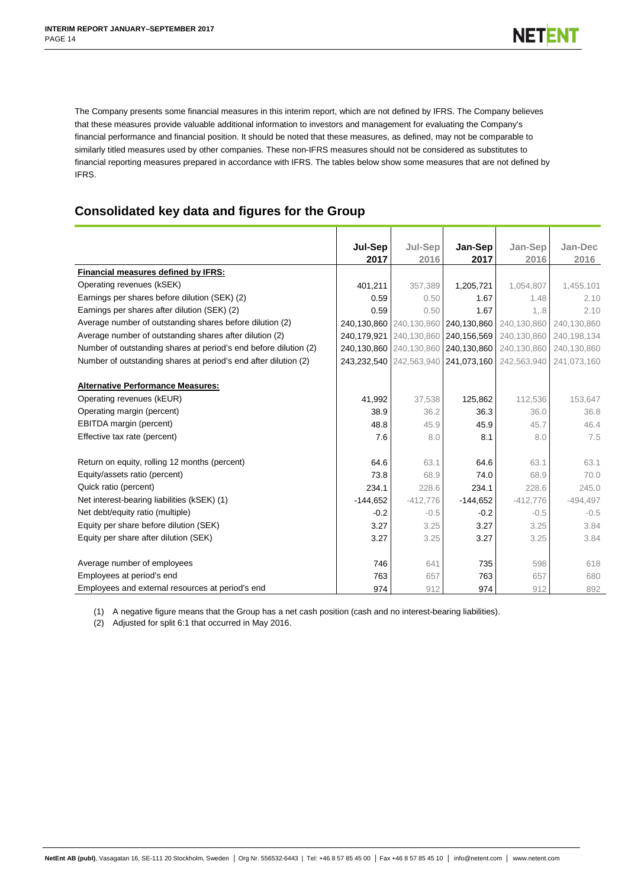The Company presents some financial measures in this interim report, which are not defined by IFRS. The Company believes that these measures provide valuable additional information to investors and management for evaluating the Company's financial performance and financial position. It should be noted that these measures, as defined, may not be comparable to similarly titled measures used by other companies. These non-IFRS measures should not be considered as substitutes to financial reporting measures prepared in accordance with IFRS. The tables below show some measures that are not defined by IFRS.

# **Consolidated key data and figures for the Group**

|                                                                  | Jul-Sep     | Jul-Sep                 | Jan-Sep     | Jan-Sep     | Jan-Dec     |
|------------------------------------------------------------------|-------------|-------------------------|-------------|-------------|-------------|
|                                                                  | 2017        | 2016                    | 2017        | 2016        | 2016        |
| Financial measures defined by IFRS:                              |             |                         |             |             |             |
| Operating revenues (kSEK)                                        | 401,211     | 357,389                 | 1,205,721   | 1,054,807   | 1,455,101   |
| Earnings per shares before dilution (SEK) (2)                    | 0.59        | 0.50                    | 1.67        | 1.48        | 2.10        |
| Earnings per shares after dilution (SEK) (2)                     | 0.59        | 0.50                    | 1.67        | 1, .8       | 2.10        |
| Average number of outstanding shares before dilution (2)         |             | 240,130,860 240,130,860 | 240,130,860 | 240,130,860 | 240,130,860 |
| Average number of outstanding shares after dilution (2)          | 240.179.921 | 240,130,860             | 240,156,569 | 240,130,860 | 240,198,134 |
| Number of outstanding shares at period's end before dilution (2) |             | 240,130,860 240,130,860 | 240,130,860 | 240,130,860 | 240,130,860 |
| Number of outstanding shares at period's end after dilution (2)  |             | 243,232,540 242,563,940 | 241,073,160 | 242,563,940 | 241,073,160 |
|                                                                  |             |                         |             |             |             |
| <b>Alternative Performance Measures:</b>                         |             |                         |             |             |             |
| Operating revenues (kEUR)                                        | 41,992      | 37,538                  | 125,862     | 112,536     | 153,647     |
| Operating margin (percent)                                       | 38.9        | 36.2                    | 36.3        | 36.0        | 36.8        |
| EBITDA margin (percent)                                          | 48.8        | 45.9                    | 45.9        | 45.7        | 46.4        |
| Effective tax rate (percent)                                     | 7.6         | 8.0                     | 8.1         | 8.0         | 7.5         |
|                                                                  |             |                         |             |             |             |
| Return on equity, rolling 12 months (percent)                    | 64.6        | 63.1                    | 64.6        | 63.1        | 63.1        |
| Equity/assets ratio (percent)                                    | 73.8        | 68.9                    | 74.0        | 68.9        | 70.0        |
| Quick ratio (percent)                                            | 234.1       | 228.6                   | 234.1       | 228.6       | 245.0       |
| Net interest-bearing liabilities (kSEK) (1)                      | $-144,652$  | $-412,776$              | $-144,652$  | $-412,776$  | $-494,497$  |
| Net debt/equity ratio (multiple)                                 | $-0.2$      | $-0.5$                  | $-0.2$      | $-0.5$      | $-0.5$      |
| Equity per share before dilution (SEK)                           | 3.27        | 3.25                    | 3.27        | 3.25        | 3.84        |
| Equity per share after dilution (SEK)                            | 3.27        | 3.25                    | 3.27        | 3.25        | 3.84        |
|                                                                  |             |                         |             |             |             |
| Average number of employees                                      | 746         | 641                     | 735         | 598         | 618         |
| Employees at period's end                                        | 763         | 657                     | 763         | 657         | 680         |
| Employees and external resources at period's end                 | 974         | 912                     | 974         | 912         | 892         |

(1) A negative figure means that the Group has a net cash position (cash and no interest-bearing liabilities).

(2) Adjusted for split 6:1 that occurred in May 2016.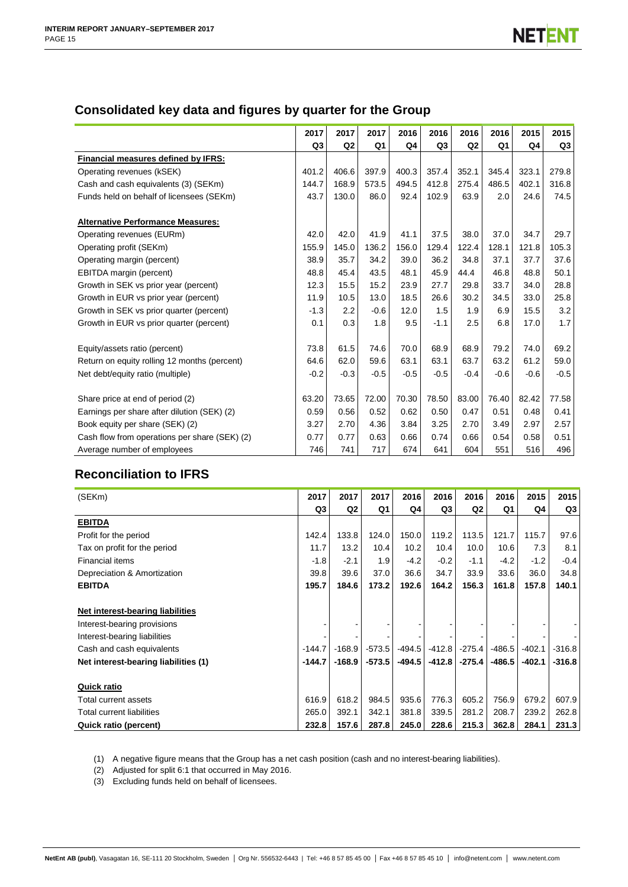# **Consolidated key data and figures by quarter for the Group**

|                                               | 2017           | 2017           | 2017           | 2016   | 2016           | 2016           | 2016   | 2015   | 2015   |
|-----------------------------------------------|----------------|----------------|----------------|--------|----------------|----------------|--------|--------|--------|
|                                               | Q <sub>3</sub> | Q <sub>2</sub> | Q <sub>1</sub> | Q4     | Q <sub>3</sub> | Q <sub>2</sub> | Q1     | Q4     | Q3     |
| Financial measures defined by IFRS:           |                |                |                |        |                |                |        |        |        |
| Operating revenues (kSEK)                     | 401.2          | 406.6          | 397.9          | 400.3  | 357.4          | 352.1          | 345.4  | 323.1  | 279.8  |
| Cash and cash equivalents (3) (SEKm)          | 144.7          | 168.9          | 573.5          | 494.5  | 412.8          | 275.4          | 486.5  | 402.1  | 316.8  |
| Funds held on behalf of licensees (SEKm)      | 43.7           | 130.0          | 86.0           | 92.4   | 102.9          | 63.9           | 2.0    | 24.6   | 74.5   |
| <b>Alternative Performance Measures:</b>      |                |                |                |        |                |                |        |        |        |
| Operating revenues (EURm)                     | 42.0           | 42.0           | 41.9           | 41.1   | 37.5           | 38.0           | 37.0   | 34.7   | 29.7   |
| Operating profit (SEKm)                       | 155.9          | 145.0          | 136.2          | 156.0  | 129.4          | 122.4          | 128.1  | 121.8  | 105.3  |
| Operating margin (percent)                    | 38.9           | 35.7           | 34.2           | 39.0   | 36.2           | 34.8           | 37.1   | 37.7   | 37.6   |
| EBITDA margin (percent)                       | 48.8           | 45.4           | 43.5           | 48.1   | 45.9           | 44.4           | 46.8   | 48.8   | 50.1   |
| Growth in SEK vs prior year (percent)         | 12.3           | 15.5           | 15.2           | 23.9   | 27.7           | 29.8           | 33.7   | 34.0   | 28.8   |
| Growth in EUR vs prior year (percent)         | 11.9           | 10.5           | 13.0           | 18.5   | 26.6           | 30.2           | 34.5   | 33.0   | 25.8   |
| Growth in SEK vs prior quarter (percent)      | $-1.3$         | 2.2            | $-0.6$         | 12.0   | 1.5            | 1.9            | 6.9    | 15.5   | 3.2    |
| Growth in EUR vs prior quarter (percent)      | 0.1            | 0.3            | 1.8            | 9.5    | $-1.1$         | 2.5            | 6.8    | 17.0   | 1.7    |
| Equity/assets ratio (percent)                 | 73.8           | 61.5           | 74.6           | 70.0   | 68.9           | 68.9           | 79.2   | 74.0   | 69.2   |
| Return on equity rolling 12 months (percent)  | 64.6           | 62.0           | 59.6           | 63.1   | 63.1           | 63.7           | 63.2   | 61.2   | 59.0   |
| Net debt/equity ratio (multiple)              | $-0.2$         | $-0.3$         | $-0.5$         | $-0.5$ | $-0.5$         | $-0.4$         | $-0.6$ | $-0.6$ | $-0.5$ |
| Share price at end of period (2)              | 63.20          | 73.65          | 72.00          | 70.30  | 78.50          | 83.00          | 76.40  | 82.42  | 77.58  |
| Earnings per share after dilution (SEK) (2)   | 0.59           | 0.56           | 0.52           | 0.62   | 0.50           | 0.47           | 0.51   | 0.48   | 0.41   |
| Book equity per share (SEK) (2)               | 3.27           | 2.70           | 4.36           | 3.84   | 3.25           | 2.70           | 3.49   | 2.97   | 2.57   |
| Cash flow from operations per share (SEK) (2) | 0.77           | 0.77           | 0.63           | 0.66   | 0.74           | 0.66           | 0.54   | 0.58   | 0.51   |
| Average number of employees                   | 746            | 741            | 717            | 674    | 641            | 604            | 551    | 516    | 496    |

# **Reconciliation to IFRS**

| (SEKm)                               | 2017     | 2017           | 2017     | 2016     | 2016           | 2016           | 2016     | 2015     | 2015     |
|--------------------------------------|----------|----------------|----------|----------|----------------|----------------|----------|----------|----------|
|                                      | Q3       | Q <sub>2</sub> | Q1       | Q4       | Q <sub>3</sub> | Q <sub>2</sub> | Q1       | Q4       | Q3       |
| <b>EBITDA</b>                        |          |                |          |          |                |                |          |          |          |
| Profit for the period                | 142.4    | 133.8          | 124.0    | 150.0    | 119.2          | 113.5          | 121.7    | 115.7    | 97.6     |
| Tax on profit for the period         | 11.7     | 13.2           | 10.4     | 10.2     | 10.4           | 10.0           | 10.6     | 7.3      | 8.1      |
| Financial items                      | $-1.8$   | $-2.1$         | 1.9      | $-4.2$   | $-0.2$         | $-1.1$         | $-4.2$   | $-1.2$   | $-0.4$   |
| Depreciation & Amortization          | 39.8     | 39.6           | 37.0     | 36.6     | 34.7           | 33.9           | 33.6     | 36.0     | 34.8     |
| <b>EBITDA</b>                        | 195.7    | 184.6          | 173.2    | 192.6    | 164.2          | 156.3          | 161.8    | 157.8    | 140.1    |
|                                      |          |                |          |          |                |                |          |          |          |
| Net interest-bearing liabilities     |          |                |          |          |                |                |          |          |          |
| Interest-bearing provisions          |          |                |          |          |                |                |          |          |          |
| Interest-bearing liabilities         |          |                |          |          |                |                |          |          |          |
| Cash and cash equivalents            | $-144.7$ | $-168.9$       | $-573.5$ | $-494.5$ | $-412.8$       | $-275.4$       | $-486.5$ | $-402.1$ | $-316.8$ |
| Net interest-bearing liabilities (1) | $-144.7$ | $-168.9$       | $-573.5$ | -494.5   | $-412.8$       | $-275.4$       | $-486.5$ | $-402.1$ | $-316.8$ |
|                                      |          |                |          |          |                |                |          |          |          |
| <b>Quick ratio</b>                   |          |                |          |          |                |                |          |          |          |
| Total current assets                 | 616.9    | 618.2          | 984.5    | 935.6    | 776.3          | 605.2          | 756.9    | 679.2    | 607.9    |
| Total current liabilities            | 265.0    | 392.1          | 342.1    | 381.8    | 339.5          | 281.2          | 208.7    | 239.2    | 262.8    |
| Quick ratio (percent)                | 232.8    | 157.6          | 287.8    | 245.0    | 228.6          | 215.3          | 362.8    | 284.1    | 231.3    |

(1) A negative figure means that the Group has a net cash position (cash and no interest-bearing liabilities).

(2) Adjusted for split 6:1 that occurred in May 2016.

(3) Excluding funds held on behalf of licensees.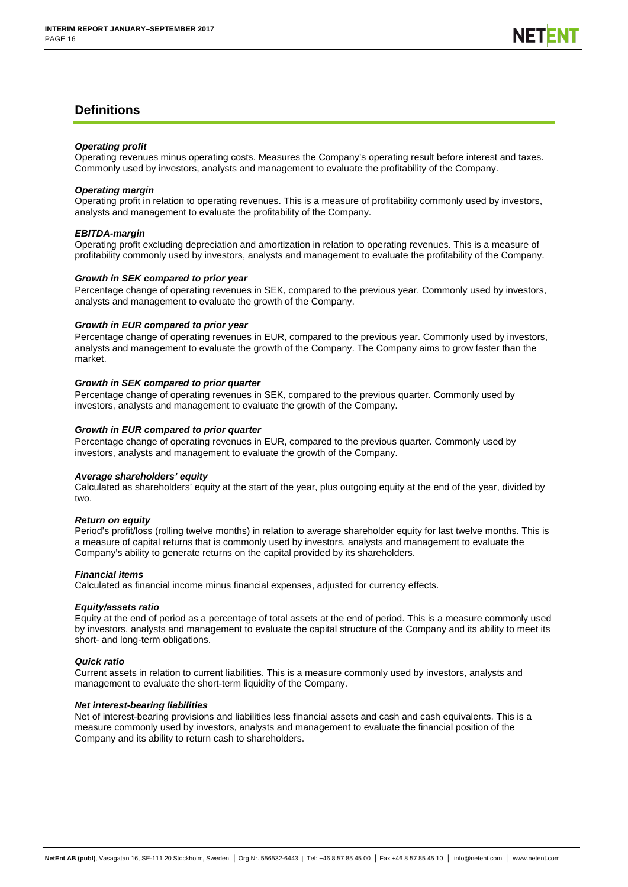# **Definitions**

### *Operating profit*

Operating revenues minus operating costs. Measures the Company's operating result before interest and taxes. Commonly used by investors, analysts and management to evaluate the profitability of the Company.

### *Operating margin*

Operating profit in relation to operating revenues. This is a measure of profitability commonly used by investors, analysts and management to evaluate the profitability of the Company.

### *EBITDA-margin*

Operating profit excluding depreciation and amortization in relation to operating revenues. This is a measure of profitability commonly used by investors, analysts and management to evaluate the profitability of the Company.

### *Growth in SEK compared to prior year*

Percentage change of operating revenues in SEK, compared to the previous year. Commonly used by investors, analysts and management to evaluate the growth of the Company.

# *Growth in EUR compared to prior year*

Percentage change of operating revenues in EUR, compared to the previous year. Commonly used by investors, analysts and management to evaluate the growth of the Company. The Company aims to grow faster than the market.

# *Growth in SEK compared to prior quarter*

Percentage change of operating revenues in SEK, compared to the previous quarter. Commonly used by investors, analysts and management to evaluate the growth of the Company.

# *Growth in EUR compared to prior quarter*

Percentage change of operating revenues in EUR, compared to the previous quarter. Commonly used by investors, analysts and management to evaluate the growth of the Company.

### *Average shareholders' equity*

Calculated as shareholders' equity at the start of the year, plus outgoing equity at the end of the year, divided by two.

### *Return on equity*

Period's profit/loss (rolling twelve months) in relation to average shareholder equity for last twelve months. This is a measure of capital returns that is commonly used by investors, analysts and management to evaluate the Company's ability to generate returns on the capital provided by its shareholders.

# *Financial items*

Calculated as financial income minus financial expenses, adjusted for currency effects.

# *Equity/assets ratio*

Equity at the end of period as a percentage of total assets at the end of period. This is a measure commonly used by investors, analysts and management to evaluate the capital structure of the Company and its ability to meet its short- and long-term obligations.

# *Quick ratio*

Current assets in relation to current liabilities. This is a measure commonly used by investors, analysts and management to evaluate the short-term liquidity of the Company.

# *Net interest-bearing liabilities*

Net of interest-bearing provisions and liabilities less financial assets and cash and cash equivalents. This is a measure commonly used by investors, analysts and management to evaluate the financial position of the Company and its ability to return cash to shareholders.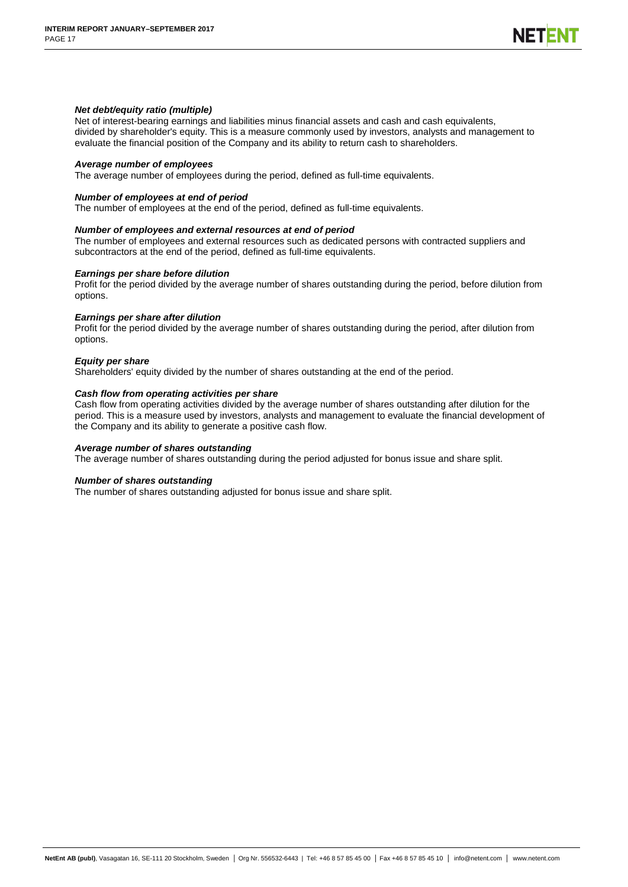### *Net debt/equity ratio (multiple)*

Net of interest-bearing earnings and liabilities minus financial assets and cash and cash equivalents, divided by shareholder's equity. This is a measure commonly used by investors, analysts and management to evaluate the financial position of the Company and its ability to return cash to shareholders.

#### *Average number of employees*

The average number of employees during the period, defined as full-time equivalents.

### *Number of employees at end of period*

The number of employees at the end of the period, defined as full-time equivalents.

#### *Number of employees and external resources at end of period*

The number of employees and external resources such as dedicated persons with contracted suppliers and subcontractors at the end of the period, defined as full-time equivalents.

#### *Earnings per share before dilution*

Profit for the period divided by the average number of shares outstanding during the period, before dilution from options.

#### *Earnings per share after dilution*

Profit for the period divided by the average number of shares outstanding during the period, after dilution from options.

#### *Equity per share*

Shareholders' equity divided by the number of shares outstanding at the end of the period.

### *Cash flow from operating activities per share*

Cash flow from operating activities divided by the average number of shares outstanding after dilution for the period. This is a measure used by investors, analysts and management to evaluate the financial development of the Company and its ability to generate a positive cash flow.

#### *Average number of shares outstanding*

The average number of shares outstanding during the period adjusted for bonus issue and share split.

#### *Number of shares outstanding*

The number of shares outstanding adjusted for bonus issue and share split.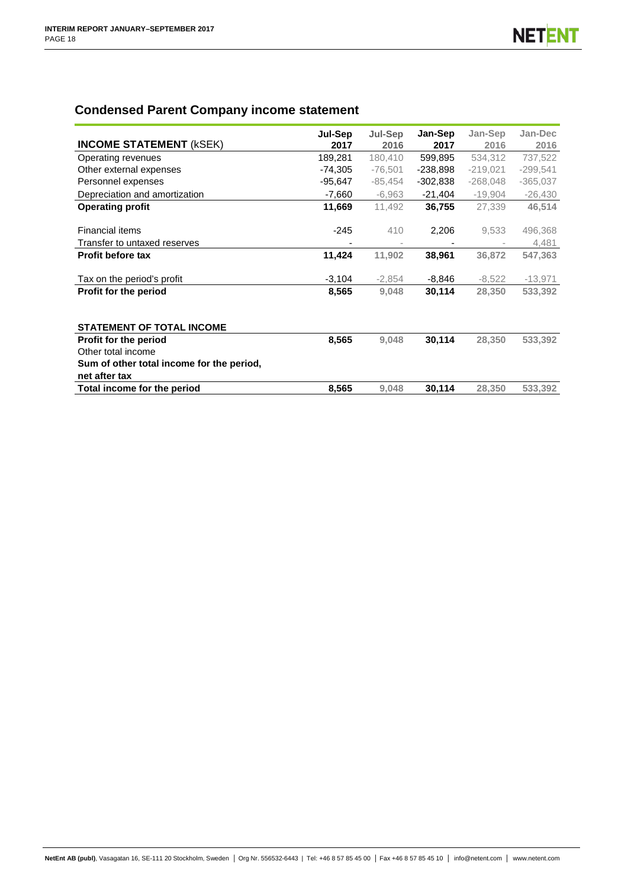# **Condensed Parent Company income statement**

|                                           | Jul-Sep   | <b>Jul-Sep</b> | Jan-Sep    | Jan-Sep    | Jan-Dec    |
|-------------------------------------------|-----------|----------------|------------|------------|------------|
| <b>INCOME STATEMENT (KSEK)</b>            | 2017      | 2016           | 2017       | 2016       | 2016       |
| Operating revenues                        | 189,281   | 180,410        | 599,895    | 534,312    | 737,522    |
| Other external expenses                   | $-74,305$ | $-76,501$      | $-238,898$ | $-219,021$ | $-299,541$ |
| Personnel expenses                        | $-95,647$ | $-85,454$      | $-302,838$ | $-268,048$ | $-365,037$ |
| Depreciation and amortization             | $-7,660$  | $-6,963$       | $-21,404$  | $-19,904$  | $-26,430$  |
| <b>Operating profit</b>                   | 11,669    | 11,492         | 36,755     | 27,339     | 46,514     |
|                                           |           |                |            |            |            |
| <b>Financial items</b>                    | $-245$    | 410            | 2,206      | 9,533      | 496,368    |
| Transfer to untaxed reserves              |           |                |            |            | 4,481      |
| <b>Profit before tax</b>                  | 11,424    | 11,902         | 38,961     | 36,872     | 547,363    |
| Tax on the period's profit                | $-3,104$  | $-2,854$       | $-8,846$   | $-8,522$   | $-13,971$  |
| Profit for the period                     | 8,565     | 9,048          | 30,114     | 28,350     | 533,392    |
|                                           |           |                |            |            |            |
| <b>STATEMENT OF TOTAL INCOME</b>          |           |                |            |            |            |
| Profit for the period                     | 8,565     | 9,048          | 30,114     | 28,350     | 533,392    |
| Other total income                        |           |                |            |            |            |
| Sum of other total income for the period, |           |                |            |            |            |
| net after tax                             |           |                |            |            |            |
| Total income for the period               | 8,565     | 9,048          | 30,114     | 28,350     | 533,392    |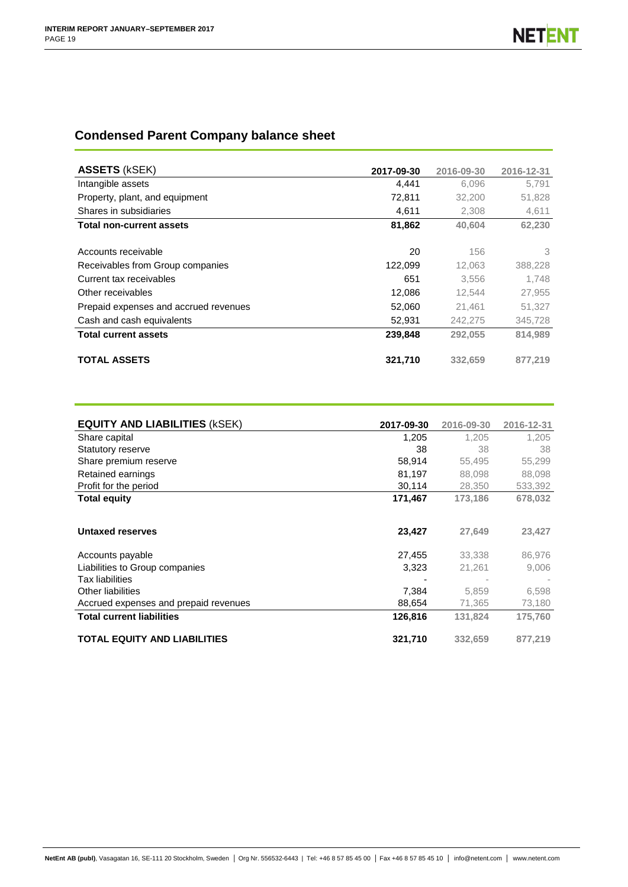# **Condensed Parent Company balance sheet**

| <b>ASSETS (kSEK)</b>                  | 2017-09-30 | 2016-09-30 | 2016-12-31 |
|---------------------------------------|------------|------------|------------|
| Intangible assets                     | 4,441      | 6,096      | 5,791      |
| Property, plant, and equipment        | 72,811     | 32,200     | 51,828     |
| Shares in subsidiaries                | 4,611      | 2,308      | 4,611      |
| <b>Total non-current assets</b>       | 81,862     | 40.604     | 62,230     |
| Accounts receivable                   | 20         | 156        | 3          |
| Receivables from Group companies      | 122.099    | 12.063     | 388,228    |
| Current tax receivables               | 651        | 3.556      | 1.748      |
| Other receivables                     | 12,086     | 12.544     | 27,955     |
| Prepaid expenses and accrued revenues | 52,060     | 21,461     | 51,327     |
| Cash and cash equivalents             | 52,931     | 242,275    | 345,728    |
| <b>Total current assets</b>           | 239,848    | 292,055    | 814.989    |
| <b>TOTAL ASSETS</b>                   | 321,710    | 332.659    | 877.219    |

| <b>EQUITY AND LIABILITIES (KSEK)</b>  | 2017-09-30 | 2016-09-30 | 2016-12-31 |
|---------------------------------------|------------|------------|------------|
| Share capital                         | 1,205      | 1.205      | 1.205      |
| <b>Statutory reserve</b>              | 38         | 38         | 38         |
| Share premium reserve                 | 58,914     | 55,495     | 55,299     |
| Retained earnings                     | 81,197     | 88,098     | 88,098     |
| Profit for the period                 | 30,114     | 28,350     | 533,392    |
| <b>Total equity</b>                   | 171,467    | 173,186    | 678,032    |
|                                       |            |            |            |
| <b>Untaxed reserves</b>               | 23,427     | 27,649     | 23,427     |
| Accounts payable                      | 27,455     | 33,338     | 86,976     |
| Liabilities to Group companies        | 3,323      | 21,261     | 9,006      |
| <b>Tax liabilities</b>                |            |            |            |
| Other liabilities                     | 7,384      | 5.859      | 6,598      |
| Accrued expenses and prepaid revenues | 88,654     | 71,365     | 73,180     |
| <b>Total current liabilities</b>      | 126,816    | 131,824    | 175,760    |
| <b>TOTAL EQUITY AND LIABILITIES</b>   | 321,710    | 332,659    | 877,219    |